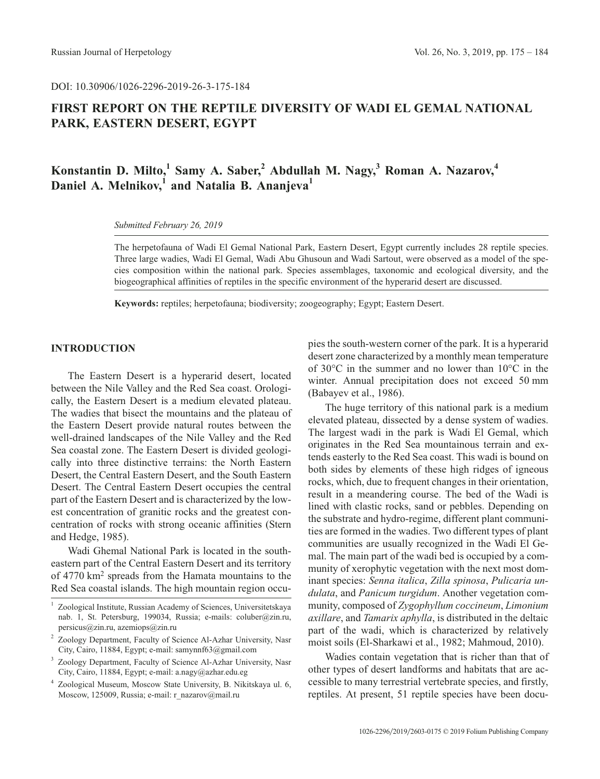DOI: 10.30906/1026-2296-2019-26-3-175-184

## **FIRST REPORT ON THE REPTILE DIVERSITY OF WADI EL GEMAL NATIONAL PARK, EASTERN DESERT, EGYPT**

# **Konstantin D. Milto,1 Samy A. Saber,2 Abdullah M. Nagy,3 Roman A. Nazarov,4 Daniel A. Melnikov,**<sup>1</sup> and Natalia B. Ananjeva<sup>1</sup>

*Submitted February 26, 2019*

The herpetofauna of Wadi El Gemal National Park, Eastern Desert, Egypt currently includes 28 reptile species. Three large wadies, Wadi El Gemal, Wadi Abu Ghusoun and Wadi Sartout, were observed as a model of the species composition within the national park. Species assemblages, taxonomic and ecological diversity, and the biogeographical affinities of reptiles in the specific environment of the hyperarid desert are discussed.

**Keywords:** reptiles; herpetofauna; biodiversity; zoogeography; Egypt; Eastern Desert.

## **INTRODUCTION**

The Eastern Desert is a hyperarid desert, located between the Nile Valley and the Red Sea coast. Orologically, the Eastern Desert is a medium elevated plateau. The wadies that bisect the mountains and the plateau of the Eastern Desert provide natural routes between the well-drained landscapes of the Nile Valley and the Red Sea coastal zone. The Eastern Desert is divided geologically into three distinctive terrains: the North Eastern Desert, the Central Eastern Desert, and the South Eastern Desert. The Central Eastern Desert occupies the central part of the Eastern Desert and is characterized by the lowest concentration of granitic rocks and the greatest concentration of rocks with strong oceanic affinities (Stern and Hedge, 1985).

Wadi Ghemal National Park is located in the southeastern part of the Central Eastern Desert and its territory of 4770 km2 spreads from the Hamata mountains to the Red Sea coastal islands. The high mountain region occupies the south-western corner of the park. It is a hyperarid desert zone characterized by a monthly mean temperature of 30°C in the summer and no lower than 10°C in the winter. Annual precipitation does not exceed 50 mm (Babayev et al., 1986).

The huge territory of this national park is a medium elevated plateau, dissected by a dense system of wadies. The largest wadi in the park is Wadi El Gemal, which originates in the Red Sea mountainous terrain and extends easterly to the Red Sea coast. This wadi is bound on both sides by elements of these high ridges of igneous rocks, which, due to frequent changes in their orientation, result in a meandering course. The bed of the Wadi is lined with clastic rocks, sand or pebbles. Depending on the substrate and hydro-regime, different plant communities are formed in the wadies. Two different types of plant communities are usually recognized in the Wadi El Gemal. The main part of the wadi bed is occupied by a community of xerophytic vegetation with the next most dominant species: *Senna italica*, *Zilla spinosa*, *Pulicaria undulata*, and *Panicum turgidum*. Another vegetation community, composed of *Zygophyllum coccineum*, *Limonium axillare*, and *Tamarix aphylla*, is distributed in the deltaic part of the wadi, which is characterized by relatively moist soils (El-Sharkawi et al., 1982; Mahmoud, 2010).

Wadies contain vegetation that is richer than that of other types of desert landforms and habitats that are accessible to many terrestrial vertebrate species, and firstly, reptiles. At present, 51 reptile species have been docu-

<sup>1</sup> Zoological Institute, Russian Academy of Sciences, Universitetskaya nab. 1, St. Petersburg, 199034, Russia; e-mails: coluber@zin.ru, persicus@zin.ru, azemiops@zin.ru

<sup>2</sup> Zoology Department, Faculty of Science Al-Azhar University, Nasr City, Cairo, 11884, Egypt; e-mail: samynnf63@gmail.com

<sup>3</sup> Zoology Department, Faculty of Science Al-Azhar University, Nasr City, Cairo, 11884, Egypt; e-mail: a.nagy@azhar.edu.eg

<sup>4</sup> Zoological Museum, Moscow State University, B. Nikitskaya ul. 6, Moscow, 125009, Russia; e-mail: r\_nazarov@mail.ru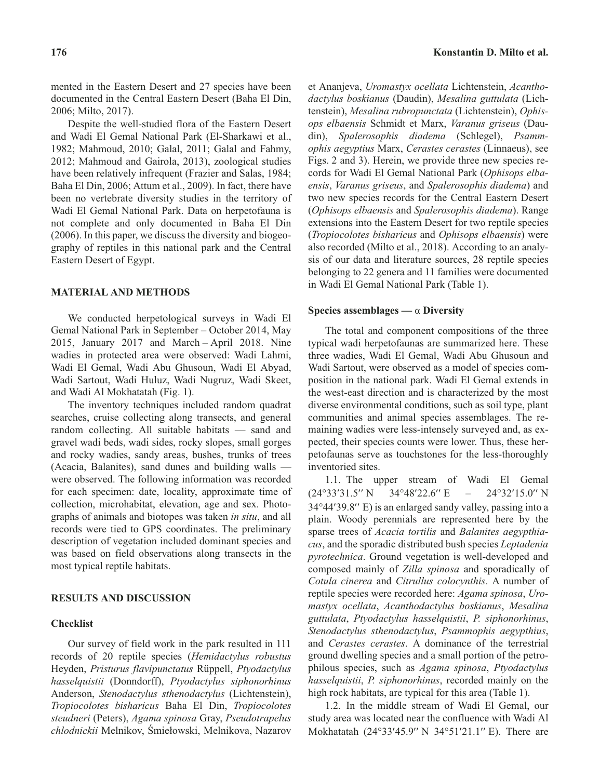mented in the Eastern Desert and 27 species have been documented in the Central Eastern Desert (Baha El Din, 2006; Milto, 2017).

Despite the well-studied flora of the Eastern Desert and Wadi El Gemal National Park (El-Sharkawi et al., 1982; Mahmoud, 2010; Galal, 2011; Galal and Fahmy, 2012; Mahmoud and Gairola, 2013), zoological studies have been relatively infrequent (Frazier and Salas, 1984; Baha El Din, 2006; Attum et al., 2009). In fact, there have been no vertebrate diversity studies in the territory of Wadi El Gemal National Park. Data on herpetofauna is not complete and only documented in Baha El Din (2006). In this paper, we discuss the diversity and biogeography of reptiles in this national park and the Central Eastern Desert of Egypt.

## **MATERIAL AND METHODS**

We conducted herpetological surveys in Wadi El Gemal National Park in September – October 2014, May 2015, January 2017 and March – April 2018. Nine wadies in protected area were observed: Wadi Lahmi, Wadi El Gemal, Wadi Abu Ghusoun, Wadi El Abyad, Wadi Sartout, Wadi Huluz, Wadi Nugruz, Wadi Skeet, and Wadi Al Mokhatatah (Fig. 1).

The inventory techniques included random quadrat searches, cruise collecting along transects, and general random collecting. All suitable habitats — sand and gravel wadi beds, wadi sides, rocky slopes, small gorges and rocky wadies, sandy areas, bushes, trunks of trees (Acacia, Balanites), sand dunes and building walls were observed. The following information was recorded for each specimen: date, locality, approximate time of collection, microhabitat, elevation, age and sex. Photographs of animals and biotopes was taken *in situ*, and all records were tied to GPS coordinates. The preliminary description of vegetation included dominant species and was based on field observations along transects in the most typical reptile habitats.

## **RESULTS AND DISCUSSION**

#### **Checklist**

Our survey of field work in the park resulted in 111 records of 20 reptile species (*Hemidactylus robustus* Heyden, *Pristurus flavipunctatus* Rüppell, *Ptyodactylus hasselquistii* (Donndorff), *Ptyodactylus siphonorhinus* Anderson, *Stenodactylus sthenodactylus* (Lichtenstein), *Tropiocolotes bisharicus* Baha El Din, *Tropiocolotes steudneri* (Peters), *Agama spinosa* Gray, *Pseudotrapelus chlodnickii* Melnikov, Œmie³owski, Melnikova, Nazarov et Ananjeva, *Uromastyx ocellata* Lichtenstein, *Acanthodactylus boskianus* (Daudin), *Mesalina guttulata* (Lichtenstein), *Mesalina rubropunctata* (Lichtenstein), *Ophisops elbaensis* Schmidt et Marx, *Varanus griseus* (Daudin), *Spalerosophis diadema* (Schlegel), *Psammophis aegyptius* Marx, *Cerastes cerastes* (Linnaeus), see Figs. 2 and 3). Herein, we provide three new species records for Wadi El Gemal National Park (*Ophisops elbaensis*, *Varanus griseus*, and *Spalerosophis diadema*) and two new species records for the Central Eastern Desert (*Ophisops elbaensis* and *Spalerosophis diadema*). Range extensions into the Eastern Desert for two reptile species (*Tropiocolotes bisharicus* and *Ophisops elbaensis*) were also recorded (Milto et al., 2018). According to an analysis of our data and literature sources, 28 reptile species belonging to 22 genera and 11 families were documented in Wadi El Gemal National Park (Table 1).

#### **Species assemblages —**  $\alpha$  **Diversity**

The total and component compositions of the three typical wadi herpetofaunas are summarized here. These three wadies, Wadi El Gemal, Wadi Abu Ghusoun and Wadi Sartout, were observed as a model of species composition in the national park. Wadi El Gemal extends in the west-east direction and is characterized by the most diverse environmental conditions, such as soil type, plant communities and animal species assemblages. The remaining wadies were less-intensely surveyed and, as expected, their species counts were lower. Thus, these herpetofaunas serve as touchstones for the less-thoroughly inventoried sites.

1.1. The upper stream of Wadi El Gemal<br>  $33'31.5''$  N  $34^{\circ}48'22.6''$  E -  $24^{\circ}32'15.0''$  N 1.1. The  $(24^{\circ}33'31.5'$ 34°48'22.6" E 24°32'15.0" N (24°33′31.5′<br>34°44′39.8′′  $34^{\circ}44'39.8''$  E) is an enlarged sandy valley, passing into a plain. Woody perennials are represented here by the sparse trees of *Acacia tortilis* and *Balanites aegypthiacus*, and the sporadic distributed bush species *Leptadenia pyrotechnica*. Ground vegetation is well-developed and composed mainly of *Zilla spinosa* and sporadically of *Cotula cinerea* and *Citrullus colocynthis*. A number of reptile species were recorded here: *Agama spinosa*, *Uromastyx ocellata*, *Acanthodactylus boskianus*, *Mesalina guttulata*, *Ptyodactylus hasselquistii*, *P. siphonorhinus*, *Stenodactylus sthenodactylus*, *Psammophis aegypthius*, and *Cerastes cerastes*. A dominance of the terrestrial ground dwelling species and a small portion of the petrophilous species, such as *Agama spinosa*, *Ptyodactylus hasselquistii*, *P. siphonorhinus*, recorded mainly on the high rock habitats, are typical for this area (Table 1).

1.2. In the middle stream of Wadi El Gemal, our study area was located near the confluence with Wadi Al<br>Mokhatatah (24°33'45.9" N 34°51'21.1" E). There are Mokhatatah (24°33'45.9" N 34°51'21.1" E). There are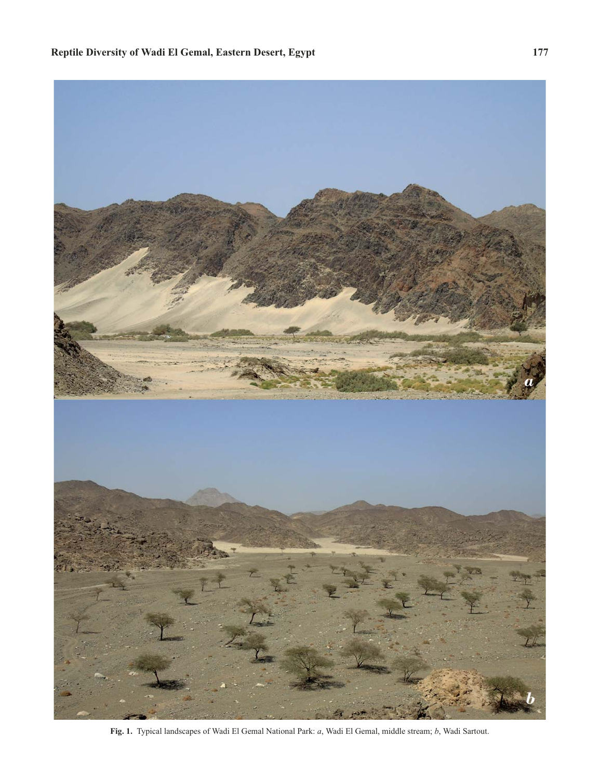

**Fig. 1.** Typical landscapes of Wadi El Gemal National Park: *a*, Wadi El Gemal, middle stream; *b*, Wadi Sartout.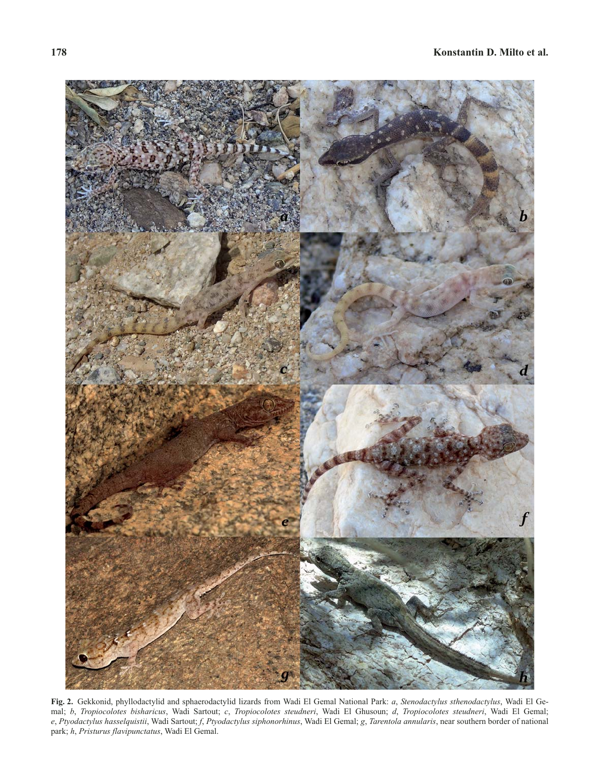

**Fig. 2.** Gekkonid, phyllodactylid and sphaerodactylid lizards from Wadi El Gemal National Park: *a*, *Stenodactylus sthenodactylus*, Wadi El Gemal; *b*, *Tropiocolotes bisharicus*, Wadi Sartout; *c*, *Tropiocolotes steudneri*, Wadi El Ghusoun; *d*, *Tropiocolotes steudneri*, Wadi El Gemal; *e*, *Ptyodactylus hasselquistii*, Wadi Sartout; *f*, *Ptyodactylus siphonorhinus*, Wadi El Gemal; *g*, *Tarentola annularis*, near southern border of national park; *h*, *Pristurus flavipunctatus*, Wadi El Gemal.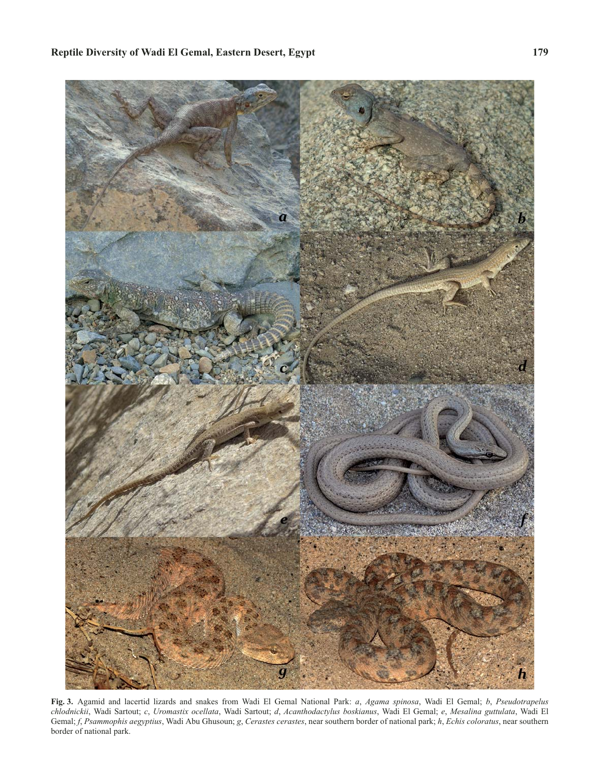

**Fig. 3.** Agamid and lacertid lizards and snakes from Wadi El Gemal National Park: *a*, *Agama spinosa*, Wadi El Gemal; *b*, *Pseudotrapelus chlodnickii*, Wadi Sartout; *c*, *Uromastix ocellata*, Wadi Sartout; *d*, *Acanthodactylus boskianus*, Wadi El Gemal; *e*, *Mesalina guttulata*, Wadi El Gemal; *f*, *Psammophis aegyptius*, Wadi Abu Ghusoun; *g*, *Cerastes cerastes*, near southern border of national park; *h*, *Echis coloratus*, near southern border of national park.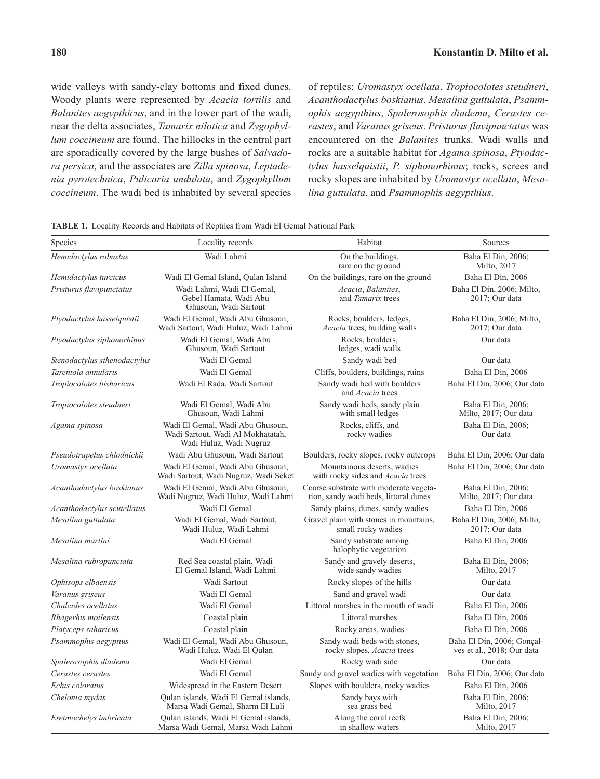wide valleys with sandy-clay bottoms and fixed dunes. Woody plants were represented by *Acacia tortilis* and *Balanites aegypthicus*, and in the lower part of the wadi, near the delta associates, *Tamarix nilotica* and *Zygophyllum coccineum* are found. The hillocks in the central part are sporadically covered by the large bushes of *Salvadora persica*, and the associates are *Zilla spinosa*, *Leptadenia pyrotechnica*, *Pulicaria undulata*, and *Zygophyllum coccineum*. The wadi bed is inhabited by several species of reptiles: *Uromastyx ocellata*, *Tropiocolotes steudneri*, *Acanthodactylus boskianus*, *Mesalina guttulata*, *Psammophis aegypthius*, *Spalerosophis diadema*, *Cerastes cerastes*, and *Varanus griseus*. *Pristurus flavipunctatus* was encountered on the *Balanites* trunks. Wadi walls and rocks are a suitable habitat for *Agama spinosa*, *Ptyodactylus hasselquistii*, *P. siphonorhinus*; rocks, screes and rocky slopes are inhabited by *Uromastyx ocellata*, *Mesalina guttulata*, and *Psammophis aegypthius*.

Species **Species Locality records Habitat** Habitat Sources *Hemidactylus robustus* Wadi Lahmi On the buildings, rare on the ground Baha El Din, 2006; Milto, 2017 *Hemidactylus turcicus* Wadi El Gemal Island, Qulan Island On the buildings, rare on the ground Baha El Din, 2006 *Pristurus flavipunctatus* Wadi Lahmi, Wadi El Gemal, Gebel Hamata, Wadi Abu Ghusoun, Wadi Sartout *Acacia*, *Balanites*, and *Tamarix* trees Baha El Din, 2006; Milto, 2017; Our data *Ptyodactylus hasselquistii* Wadi El Gemal, Wadi Abu Ghusoun, Wadi Sartout, Wadi Huluz, Wadi Lahmi Rocks, boulders, ledges, *Acacia* trees, building walls Baha El Din, 2006; Milto, 2017; Our data *Ptyodactylus siphonorhinus* Wadi El Gemal, Wadi Abu Ghusoun, Wadi Sartout Rocks, boulders, ledges, wadi walls Our data *Stenodactylus sthenodactylus* Wadi El Gemal Sandy wadi bed Our data *Tarentola annularis* Wadi El Gemal Cliffs, boulders, buildings, ruins Baha El Din, 2006 *Tropiocolotes bisharicus* Wadi El Rada, Wadi Sartout Sandy wadi bed with boulders and *Acacia* trees Baha El Din, 2006; Our data *Tropiocolotes steudneri* Wadi El Gemal, Wadi Abu Ghusoun, Wadi Lahmi Sandy wadi beds, sandy plain with small ledges Baha El Din, 2006; Milto, 2017; Our data *Agama spinosa* Wadi El Gemal, Wadi Abu Ghusoun, Wadi Sartout, Wadi Al Mokhatatah, Wadi Huluz, Wadi Nugruz Rocks, cliffs, and rocky wadies Baha El Din, 2006; Our data *Pseudotrapelus chlodnickii* Wadi Abu Ghusoun, Wadi Sartout Boulders, rocky slopes, rocky outcrops Baha El Din, 2006; Our data *Uromastyx ocellata* Wadi El Gemal, Wadi Abu Ghusoun, Wadi Sartout, Wadi Nugruz, Wadi Seket Mountainous deserts, wadies with rocky sides and *Acacia* trees Baha El Din, 2006; Our data *Acanthodactylus boskianus* Wadi El Gemal, Wadi Abu Ghusoun, Wadi Nugruz, Wadi Huluz, Wadi Lahmi Coarse substrate with moderate vegetation, sandy wadi beds, littoral dunes Baha El Din, 2006; Milto, 2017; Our data *Acanthodactylus scutellatus* Wadi El Gemal Sandy plains, dunes, sandy wadies Baha El Din, 2006 *Mesalina guttulata* Wadi El Gemal, Wadi Sartout, Wadi Huluz, Wadi Lahmi Gravel plain with stones in mountains, small rocky wadies Baha El Din, 2006; Milto, 2017; Our data *Mesalina martini* Wadi El Gemal Sandy substrate among halophytic vegetation Baha El Din, 2006 *Mesalina rubropunctata* Red Sea coastal plain, Wadi El Gemal Island, Wadi Lahmi Sandy and gravely deserts, wide sandy wadies Baha El Din, 2006; Milto, 2017 *Ophisops elbaensis* **Wadi Sartout** Rocky slopes of the hills **COU** data *Varanus griseus* Wadi El Gemal Sand and gravel wadi Our data *Chalcides ocellatus* Wadi El Gemal Littoral marshes in the mouth of wadi Baha El Din, 2006 *Rhagerhis moilensis* Coastal plain Littoral marshes Baha El Din, 2006 Platyceps saharicus Coastal plain Rocky areas, wadies Baha El Din, 2006 *Psammophis aegyptius* Wadi El Gemal, Wadi Abu Ghusoun, Wadi Huluz, Wadi El Qulan Sandy wadi beds with stones, rocky slopes, *Acacia* trees Baha El Din, 2006; Gonçalves et al., 2018; Our data *Spalerosophis diadema* **Wadi El Gemal** Rocky wadi side Our data *Cerastes cerastes* Wadi El Gemal Sandy and gravel wadies with vegetation Baha El Din, 2006; Our data *Echis coloratus* Widespread in the Eastern Desert Slopes with boulders, rocky wadies Baha El Din, 2006 *Chelonia mydas* **Qulan islands**, Wadi El Gemal islands, Marsa Wadi Gemal, Sharm El Luli Sandy bays with sea grass bed Baha El Din, 2006; Milto, 2017 *Eretmochelys imbricata* Qulan islands, Wadi El Gemal islands, Marsa Wadi Gemal, Marsa Wadi Lahmi Along the coral reefs in shallow waters Baha El Din, 2006; Milto, 2017

**TABLE 1.** Locality Records and Habitats of Reptiles from Wadi El Gemal National Park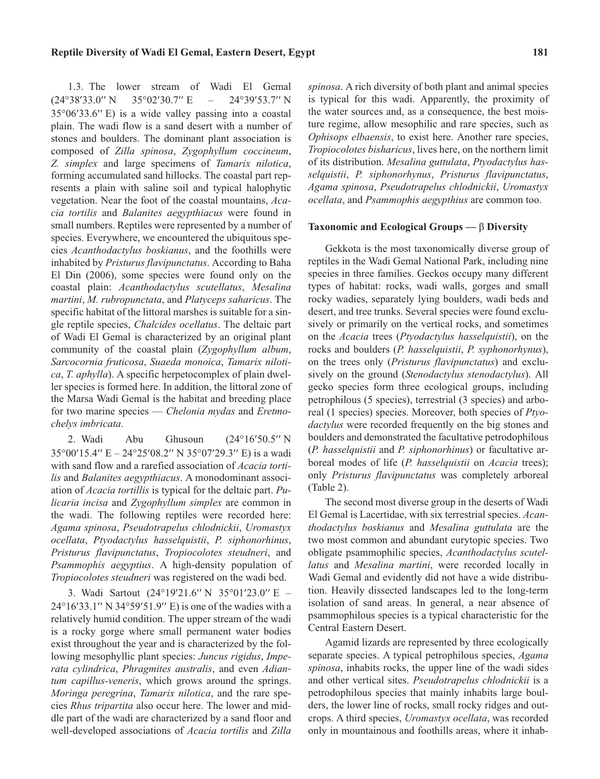1.3. The lower stream of Wadi El Gemal<br>  $38'33.0''$  N  $35^{\circ}02'30.7''$  E – 24°39′53.7″ N 1.3. The<br>( $24^{\circ}38'33.0'$ 35°02'30.7" E Gemal<br>53.7" N  $(24^{\circ}38'33.0'' \text{ N } 35^{\circ}02'30.7'' \text{ E } - 24^{\circ}39'53.7'' \text{ N}$ <br> $35^{\circ}06'33.6'' \text{ E}$  is a wide valley passing into a coastal plain. The wadi flow is a sand desert with a number of stones and boulders. The dominant plant association is composed of *Zilla spinosa*, *Zygophyllum coccineum*, *Z. simplex* and large specimens of *Tamarix nilotica*, forming accumulated sand hillocks. The coastal part represents a plain with saline soil and typical halophytic vegetation. Near the foot of the coastal mountains, *Acacia tortilis* and *Balanites aegypthiacus* were found in small numbers. Reptiles were represented by a number of species. Everywhere, we encountered the ubiquitous species *Acanthodactylus boskianus*, and the foothills were inhabited by *Pristurus flavipunctatus*. According to Baha El Din (2006), some species were found only on the coastal plain: *Acanthodactylus scutellatus*, *Mesalina martini*, *M. rubropunctata*, and *Platyceps saharicus*. The specific habitat of the littoral marshes is suitable for a single reptile species, *Chalcides ocellatus*. The deltaic part of Wadi El Gemal is characterized by an original plant community of the coastal plain (*Zygophyllum album*, *Sarcocornia fruticosa*, *Suaeda monoica*, *Tamarix nilotica*, *T. aphylla*). A specific herpetocomplex of plain dweller species is formed here. In addition, the littoral zone of the Marsa Wadi Gemal is the habitat and breeding place for two marine species — *Chelonia mydas* and *Eretmochelys imbricata*. 'y*s imbricata*.<br>2. Wadi Abu Ghusoun (24°16' 4°16′50.5″ N

2. Wadi Abu Ghusoun (24°16'50.5" N<br>35°00'15.4" E – 24°25'08.2" N 35°07'29.3" E) is a wadi 2. Wadi Ghusoun with sand flow and a rarefied association of *Acacia tortilis* and *Balanites aegypthiacus*. A monodominant association of *Acacia tortillis* is typical for the deltaic part. *Pulicaria incisa* and *Zygophyllum simplex* are common in the wadi. The following reptiles were recorded here: *Agama spinosa*, *Pseudotrapelus chlodnickii*, *Uromastyx ocellata*, *Ptyodactylus hasselquistii*, *P. siphonorhinus*, *Pristurus flavipunctatus*, *Tropiocolotes steudneri*, and *Psammophis aegyptius*. A high-density population of *Tropiocolotes steudneri* was registered on the wadi bed. --

viocolotes steudneri was registered on the wadi bed.<br>
3. Wadi Sartout (24°19'21.6" N 35°01'23.0" E –<br>
16'33.1" N 34°59'51.9" E) is one of the wadies with a 3. Wadi Sartout  $(24^{\circ}19'21.6'' \text{ N } 35^{\circ}01'23.0'' \text{ E } - 24^{\circ}16'33.1'' \text{ N } 34^{\circ}59'51.9'' \text{ E})$  is one of the wadies with a relatively humid condition. The upper stream of the wadi is a rocky gorge where small permanent water bodies exist throughout the year and is characterized by the following mesophyllic plant species: *Juncus rigidus*, *Imperata cylindrica*, *Phragmites australis*, and even *Adiantum capillus-veneris*, which grows around the springs. *Moringa peregrina*, *Tamarix nilotica*, and the rare species *Rhus tripartita* also occur here. The lower and middle part of the wadi are characterized by a sand floor and well-developed associations of *Acacia tortilis* and *Zilla* *spinosa*. A rich diversity of both plant and animal species is typical for this wadi. Apparently, the proximity of the water sources and, as a consequence, the best moisture regime, allow mesophilic and rare species, such as *Ophisops elbaensis*, to exist here. Another rare species, *Tropiocolotes bisharicus*, lives here, on the northern limit of its distribution. *Mesalina guttulata*, *Ptyodactylus hasselquistii*, *P. siphonorhynus*, *Pristurus flavipunctatus*, *Agama spinosa*, *Pseudotrapelus chlodnickii*, *Uromastyx ocellata*, and *Psammophis aegypthius* are common too.

#### **Taxonomic and Ecological Groups —** â **Diversity**

Gekkota is the most taxonomically diverse group of reptiles in the Wadi Gemal National Park, including nine species in three families. Geckos occupy many different types of habitat: rocks, wadi walls, gorges and small rocky wadies, separately lying boulders, wadi beds and desert, and tree trunks. Several species were found exclusively or primarily on the vertical rocks, and sometimes on the *Acacia* trees (*Ptyodactylus hasselquistii*), on the rocks and boulders (*P. hasselquistii*, *P. syphonorhynus*), on the trees only (*Pristurus flavipunctatus*) and exclusively on the ground (*Stenodactylus stenodactylus*). All gecko species form three ecological groups, including petrophilous (5 species), terrestrial (3 species) and arboreal (1 species) species. Moreover, both species of *Ptyodactylus* were recorded frequently on the big stones and boulders and demonstrated the facultative petrodophilous (*P. hasselquistii* and *P. siphonorhinus*) or facultative arboreal modes of life (*P. hasselquistii* on *Acacia* trees); only *Pristurus flavipunctatus* was completely arboreal (Table 2).

The second most diverse group in the deserts of Wadi El Gemal is Lacertidae, with six terrestrial species. *Acanthodactylus boskianus* and *Mesalina guttulata* are the two most common and abundant eurytopic species. Two obligate psammophilic species, *Acanthodactylus scutellatus* and *Mesalina martini*, were recorded locally in Wadi Gemal and evidently did not have a wide distribution. Heavily dissected landscapes led to the long-term isolation of sand areas. In general, a near absence of psammophilous species is a typical characteristic for the Central Eastern Desert.

Agamid lizards are represented by three ecologically separate species. A typical petrophilous species, *Agama spinosa*, inhabits rocks, the upper line of the wadi sides and other vertical sites. *Pseudotrapelus chlodnickii* is a petrodophilous species that mainly inhabits large boulders, the lower line of rocks, small rocky ridges and outcrops. A third species, *Uromastyx ocellata*, was recorded only in mountainous and foothills areas, where it inhab-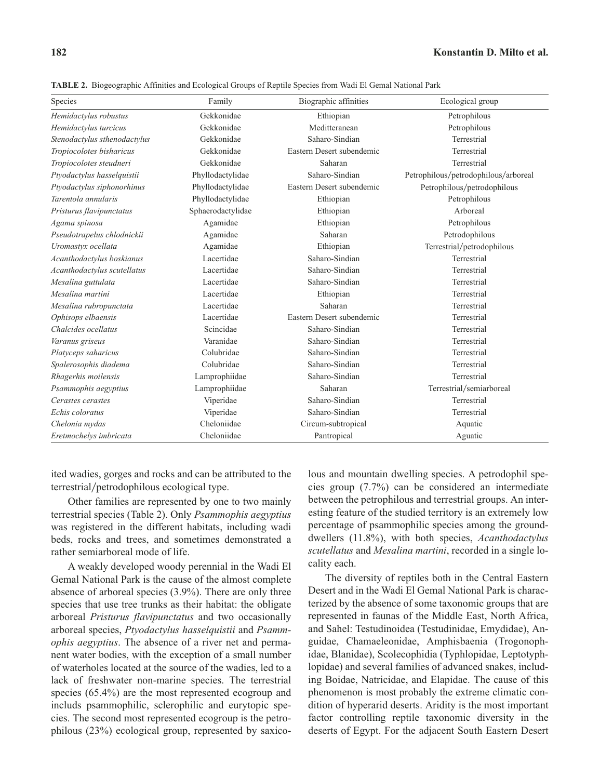| Species                      | Family            | Biographic affinities     | Ecological group                     |
|------------------------------|-------------------|---------------------------|--------------------------------------|
| Hemidactylus robustus        | Gekkonidae        | Ethiopian                 | Petrophilous                         |
| Hemidactylus turcicus        | Gekkonidae        | Meditteranean             | Petrophilous                         |
| Stenodactylus sthenodactylus | Gekkonidae        | Saharo-Sindian            | Terrestrial                          |
| Tropiocolotes bisharicus     | Gekkonidae        | Eastern Desert subendemic | Terrestrial                          |
| Tropiocolotes steudneri      | Gekkonidae        | Saharan                   | Terrestrial                          |
| Ptyodactylus hasselquistii   | Phyllodactylidae  | Saharo-Sindian            | Petrophilous/petrodophilous/arboreal |
| Ptyodactylus siphonorhinus   | Phyllodactylidae  | Eastern Desert subendemic | Petrophilous/petrodophilous          |
| Tarentola annularis          | Phyllodactylidae  | Ethiopian                 | Petrophilous                         |
| Pristurus flavipunctatus     | Sphaerodactylidae | Ethiopian                 | Arboreal                             |
| Agama spinosa                | Agamidae          | Ethiopian                 | Petrophilous                         |
| Pseudotrapelus chlodnickii   | Agamidae          | Saharan                   | Petrodophilous                       |
| Uromastyx ocellata           | Agamidae          | Ethiopian                 | Terrestrial/petrodophilous           |
| Acanthodactylus boskianus    | Lacertidae        | Saharo-Sindian            | Terrestrial                          |
| Acanthodactylus scutellatus  | Lacertidae        | Saharo-Sindian            | Terrestrial                          |
| Mesalina guttulata           | Lacertidae        | Saharo-Sindian            | Terrestrial                          |
| Mesalina martini             | Lacertidae        | Ethiopian                 | Terrestrial                          |
| Mesalina rubropunctata       | Lacertidae        | Saharan                   | Terrestrial                          |
| Ophisops elbaensis           | Lacertidae        | Eastern Desert subendemic | Terrestrial                          |
| Chalcides ocellatus          | Scincidae         | Saharo-Sindian            | Terrestrial                          |
| Varanus griseus              | Varanidae         | Saharo-Sindian            | Terrestrial                          |
| Platyceps saharicus          | Colubridae        | Saharo-Sindian            | Terrestrial                          |
| Spalerosophis diadema        | Colubridae        | Saharo-Sindian            | Terrestrial                          |
| Rhagerhis moilensis          | Lamprophiidae     | Saharo-Sindian            | Terrestrial                          |
| Psammophis aegyptius         | Lamprophiidae     | Saharan                   | Terrestrial/semiarboreal             |
| Cerastes cerastes            | Viperidae         | Saharo-Sindian            | Terrestrial                          |
| Echis coloratus              | Viperidae         | Saharo-Sindian            | Terrestrial                          |
| Chelonia mydas               | Cheloniidae       | Circum-subtropical        | Aquatic                              |
| Eretmochelys imbricata       | Cheloniidae       | Pantropical               | Aguatic                              |

**TABLE 2.** Biogeographic Affinities and Ecological Groups of Reptile Species from Wadi El Gemal National Park

ited wadies, gorges and rocks and can be attributed to the terrestrial/petrodophilous ecological type.

Other families are represented by one to two mainly terrestrial species (Table 2). Only *Psammophis aegyptius* was registered in the different habitats, including wadi beds, rocks and trees, and sometimes demonstrated a rather semiarboreal mode of life.

A weakly developed woody perennial in the Wadi El Gemal National Park is the cause of the almost complete absence of arboreal species (3.9%). There are only three species that use tree trunks as their habitat: the obligate arboreal *Pristurus flavipunctatus* and two occasionally arboreal species, *Ptyodactylus hasselquistii* and *Psammophis aegyptius*. The absence of a river net and permanent water bodies, with the exception of a small number of waterholes located at the source of the wadies, led to a lack of freshwater non-marine species. The terrestrial species (65.4%) are the most represented ecogroup and includs psammophilic, sclerophilic and eurytopic species. The second most represented ecogroup is the petrophilous (23%) ecological group, represented by saxicolous and mountain dwelling species. A petrodophil species group (7.7%) can be considered an intermediate between the petrophilous and terrestrial groups. An interesting feature of the studied territory is an extremely low percentage of psammophilic species among the grounddwellers (11.8%), with both species, *Acanthodactylus scutellatus* and *Mesalina martini*, recorded in a single locality each.

The diversity of reptiles both in the Central Eastern Desert and in the Wadi El Gemal National Park is characterized by the absence of some taxonomic groups that are represented in faunas of the Middle East, North Africa, and Sahel: Testudinoidea (Testudinidae, Emydidae), Anguidae, Chamaeleonidae, Amphisbaenia (Trogonophidae, Blanidae), Scolecophidia (Typhlopidae, Leptotyphlopidae) and several families of advanced snakes, including Boidae, Natricidae, and Elapidae. The cause of this phenomenon is most probably the extreme climatic condition of hyperarid deserts. Aridity is the most important factor controlling reptile taxonomic diversity in the deserts of Egypt. For the adjacent South Eastern Desert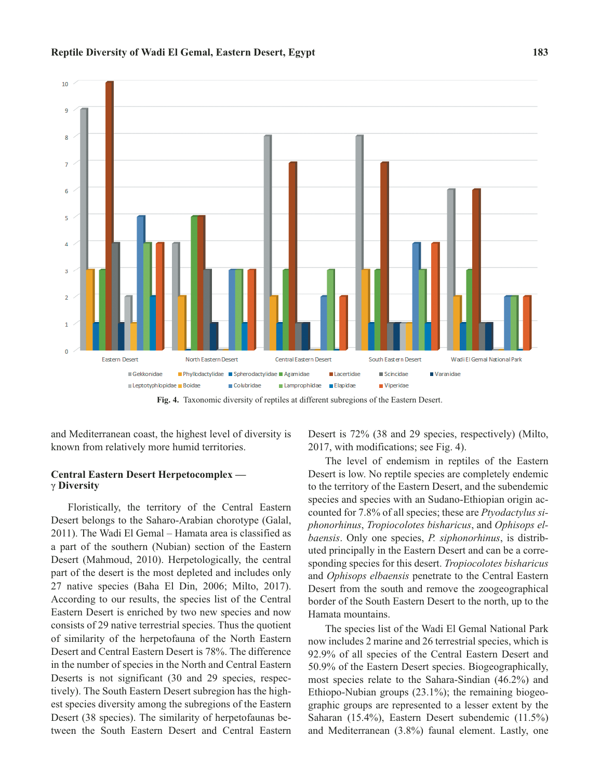



**Fig. 4.** Taxonomic diversity of reptiles at different subregions of the Eastern Desert.

and Mediterranean coast, the highest level of diversity is known from relatively more humid territories.

## **Central Eastern Desert Herpetocomplex**  ã **Diversity**

Floristically, the territory of the Central Eastern Desert belongs to the Saharo-Arabian chorotype (Galal, 2011). The Wadi El Gemal – Hamata area is classified as a part of the southern (Nubian) section of the Eastern Desert (Mahmoud, 2010). Herpetologically, the central part of the desert is the most depleted and includes only 27 native species (Baha El Din, 2006; Milto, 2017). According to our results, the species list of the Central Eastern Desert is enriched by two new species and now consists of 29 native terrestrial species. Thus the quotient of similarity of the herpetofauna of the North Eastern Desert and Central Eastern Desert is 78%. The difference in the number of species in the North and Central Eastern Deserts is not significant (30 and 29 species, respectively). The South Eastern Desert subregion has the highest species diversity among the subregions of the Eastern Desert (38 species). The similarity of herpetofaunas between the South Eastern Desert and Central Eastern Desert is 72% (38 and 29 species, respectively) (Milto, 2017, with modifications; see Fig. 4).

The level of endemism in reptiles of the Eastern Desert is low. No reptile species are completely endemic to the territory of the Eastern Desert, and the subendemic species and species with an Sudano-Ethiopian origin accounted for 7.8% of all species; these are *Ptyodactylus siphonorhinus*, *Tropiocolotes bisharicus*, and *Ophisops elbaensis*. Only one species, *P. siphonorhinus*, is distributed principally in the Eastern Desert and can be a corresponding species for this desert. *Tropiocolotes bisharicus* and *Ophisops elbaensis* penetrate to the Central Eastern Desert from the south and remove the zoogeographical border of the South Eastern Desert to the north, up to the Hamata mountains.

The species list of the Wadi El Gemal National Park now includes 2 marine and 26 terrestrial species, which is 92.9% of all species of the Central Eastern Desert and 50.9% of the Eastern Desert species. Biogeographically, most species relate to the Sahara-Sindian (46.2%) and Ethiopo-Nubian groups (23.1%); the remaining biogeographic groups are represented to a lesser extent by the Saharan (15.4%), Eastern Desert subendemic (11.5%) and Mediterranean (3.8%) faunal element. Lastly, one